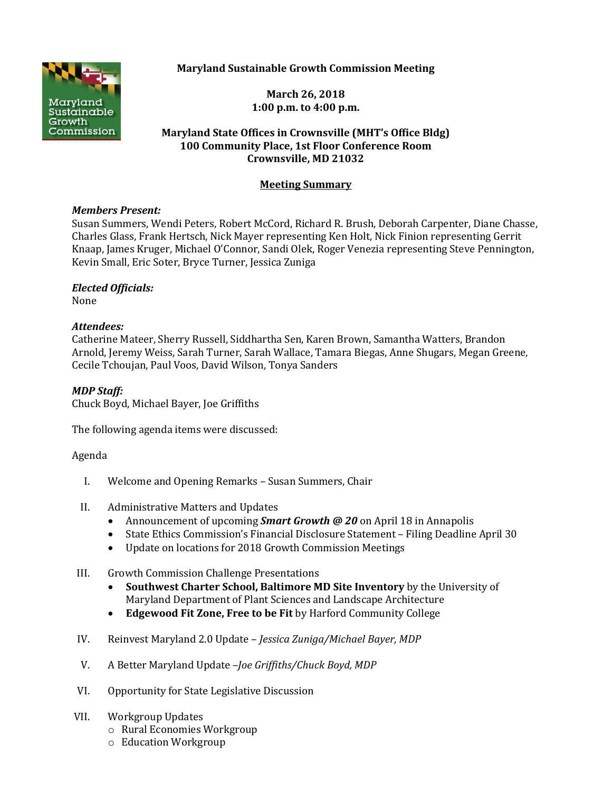**Maryland Sustainable Growth Commission Meeting**



**March 26, 2018 1:00 p.m. to 4:00 p.m.**

## **Maryland State Offices in Crownsville (MHT's Office Bldg) 100 Community Place, 1st Floor Conference Room Crownsville, MD 21032**

# **Meeting Summary**

### *Members Present:*

Susan Summers, Wendi Peters, Robert McCord, Richard R. Brush, Deborah Carpenter, Diane Chasse, Charles Glass, Frank Hertsch, Nick Mayer representing Ken Holt, Nick Finion representing Gerrit Knaap, James Kruger, Michael O'Connor, Sandi Olek, Roger Venezia representing Steve Pennington, Kevin Small, Eric Soter, Bryce Turner, Jessica Zuniga

### *Elected Officials:*

None

## *Attendees:*

Catherine Mateer, Sherry Russell, Siddhartha Sen, Karen Brown, Samantha Watters, Brandon Arnold, Jeremy Weiss, Sarah Turner, Sarah Wallace, Tamara Biegas, Anne Shugars, Megan Greene, Cecile Tchoujan, Paul Voos, David Wilson, Tonya Sanders

## *MDP Staff:*

Chuck Boyd, Michael Bayer, Joe Griffiths

The following agenda items were discussed:

#### Agenda

- I. Welcome and Opening Remarks Susan Summers, Chair
- II. Administrative Matters and Updates
	- Announcement of upcoming *Smart Growth @ 20* on April 18 in Annapolis
	- State Ethics Commission's Financial Disclosure Statement Filing Deadline April 30
	- Update on locations for 2018 Growth Commission Meetings
- III. Growth Commission Challenge Presentations
	- **Southwest Charter School, Baltimore MD Site Inventory** by the University of Maryland Department of Plant Sciences and Landscape Architecture
	- **Edgewood Fit Zone, Free to be Fit** by Harford Community College
- IV. Reinvest Maryland 2.0 Update *Jessica Zuniga/Michael Bayer, MDP*
- V. A Better Maryland Update –*Joe Griffiths/Chuck Boyd, MDP*
- VI. Opportunity for State Legislative Discussion
- VII. Workgroup Updates
	- o Rural Economies Workgroup
	- o Education Workgroup